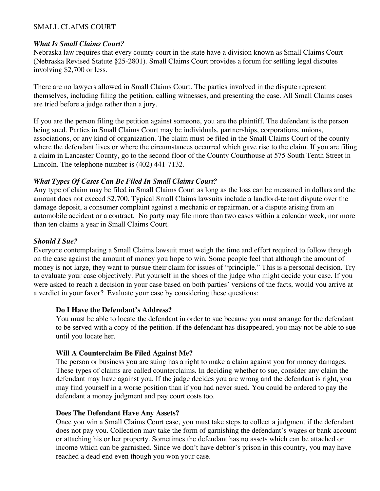## SMALL CLAIMS COURT

### *What Is Small Claims Court?*

Nebraska law requires that every county court in the state have a division known as Small Claims Court (Nebraska Revised Statute §25-2801). Small Claims Court provides a forum for settling legal disputes involving \$2,700 or less.

There are no lawyers allowed in Small Claims Court. The parties involved in the dispute represent themselves, including filing the petition, calling witnesses, and presenting the case. All Small Claims cases are tried before a judge rather than a jury.

If you are the person filing the petition against someone, you are the plaintiff. The defendant is the person being sued. Parties in Small Claims Court may be individuals, partnerships, corporations, unions, associations, or any kind of organization. The claim must be filed in the Small Claims Court of the county where the defendant lives or where the circumstances occurred which gave rise to the claim. If you are filing a claim in Lancaster County, go to the second floor of the County Courthouse at 575 South Tenth Street in Lincoln. The telephone number is (402) 441-7132.

## *What Types Of Cases Can Be Filed In Small Claims Court?*

Any type of claim may be filed in Small Claims Court as long as the loss can be measured in dollars and the amount does not exceed \$2,700. Typical Small Claims lawsuits include a landlord-tenant dispute over the damage deposit, a consumer complaint against a mechanic or repairman, or a dispute arising from an automobile accident or a contract. No party may file more than two cases within a calendar week, nor more than ten claims a year in Small Claims Court.

## *Should I Sue?*

Everyone contemplating a Small Claims lawsuit must weigh the time and effort required to follow through on the case against the amount of money you hope to win. Some people feel that although the amount of money is not large, they want to pursue their claim for issues of "principle." This is a personal decision. Try to evaluate your case objectively. Put yourself in the shoes of the judge who might decide your case. If you were asked to reach a decision in your case based on both parties' versions of the facts, would you arrive at a verdict in your favor? Evaluate your case by considering these questions:

## **Do I Have the Defendant's Address?**

You must be able to locate the defendant in order to sue because you must arrange for the defendant to be served with a copy of the petition. If the defendant has disappeared, you may not be able to sue until you locate her.

## **Will A Counterclaim Be Filed Against Me?**

The person or business you are suing has a right to make a claim against you for money damages. These types of claims are called counterclaims. In deciding whether to sue, consider any claim the defendant may have against you. If the judge decides you are wrong and the defendant is right, you may find yourself in a worse position than if you had never sued. You could be ordered to pay the defendant a money judgment and pay court costs too.

## **Does The Defendant Have Any Assets?**

Once you win a Small Claims Court case, you must take steps to collect a judgment if the defendant does not pay you. Collection may take the form of garnishing the defendant's wages or bank account or attaching his or her property. Sometimes the defendant has no assets which can be attached or income which can be garnished. Since we don't have debtor's prison in this country, you may have reached a dead end even though you won your case.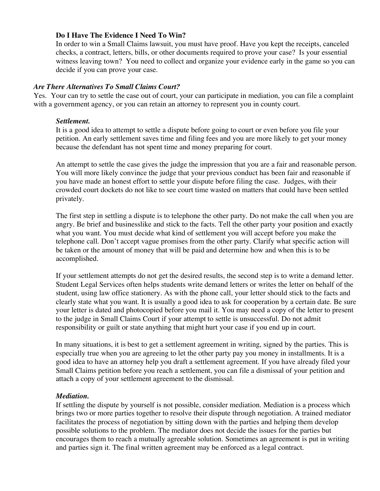### **Do I Have The Evidence I Need To Win?**

In order to win a Small Claims lawsuit, you must have proof. Have you kept the receipts, canceled checks, a contract, letters, bills, or other documents required to prove your case? Is your essential witness leaving town? You need to collect and organize your evidence early in the game so you can decide if you can prove your case.

### *Are There Alternatives To Small Claims Court?*

Yes. Your can try to settle the case out of court, your can participate in mediation, you can file a complaint with a government agency, or you can retain an attorney to represent you in county court.

### *Settlement.*

It is a good idea to attempt to settle a dispute before going to court or even before you file your petition. An early settlement saves time and filing fees and you are more likely to get your money because the defendant has not spent time and money preparing for court.

An attempt to settle the case gives the judge the impression that you are a fair and reasonable person. You will more likely convince the judge that your previous conduct has been fair and reasonable if you have made an honest effort to settle your dispute before filing the case. Judges, with their crowded court dockets do not like to see court time wasted on matters that could have been settled privately.

The first step in settling a dispute is to telephone the other party. Do not make the call when you are angry. Be brief and businesslike and stick to the facts. Tell the other party your position and exactly what you want. You must decide what kind of settlement you will accept before you make the telephone call. Don't accept vague promises from the other party. Clarify what specific action will be taken or the amount of money that will be paid and determine how and when this is to be accomplished.

If your settlement attempts do not get the desired results, the second step is to write a demand letter. Student Legal Services often helps students write demand letters or writes the letter on behalf of the student, using law office stationery. As with the phone call, your letter should stick to the facts and clearly state what you want. It is usually a good idea to ask for cooperation by a certain date. Be sure your letter is dated and photocopied before you mail it. You may need a copy of the letter to present to the judge in Small Claims Court if your attempt to settle is unsuccessful. Do not admit responsibility or guilt or state anything that might hurt your case if you end up in court.

In many situations, it is best to get a settlement agreement in writing, signed by the parties. This is especially true when you are agreeing to let the other party pay you money in installments. It is a good idea to have an attorney help you draft a settlement agreement. If you have already filed your Small Claims petition before you reach a settlement, you can file a dismissal of your petition and attach a copy of your settlement agreement to the dismissal.

### *Mediation.*

If settling the dispute by yourself is not possible, consider mediation. Mediation is a process which brings two or more parties together to resolve their dispute through negotiation. A trained mediator facilitates the process of negotiation by sitting down with the parties and helping them develop possible solutions to the problem. The mediator does not decide the issues for the parties but encourages them to reach a mutually agreeable solution. Sometimes an agreement is put in writing and parties sign it. The final written agreement may be enforced as a legal contract.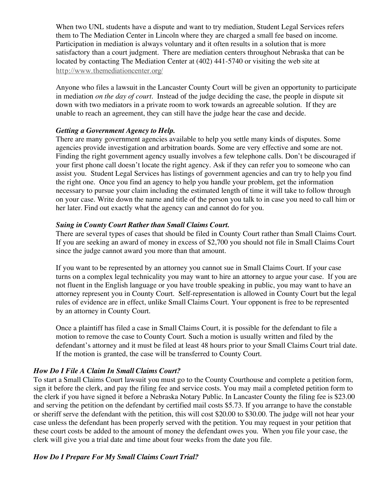When two UNL students have a dispute and want to try mediation, Student Legal Services refers them to The Mediation Center in Lincoln where they are charged a small fee based on income. Participation in mediation is always voluntary and it often results in a solution that is more satisfactory than a court judgment. There are mediation centers throughout Nebraska that can be located by contacting The Mediation Center at (402) 441-5740 or visiting the web site at http://www.themediationcenter.org/

Anyone who files a lawsuit in the Lancaster County Court will be given an opportunity to participate in mediation *on the day of court.* Instead of the judge deciding the case, the people in dispute sit down with two mediators in a private room to work towards an agreeable solution. If they are unable to reach an agreement, they can still have the judge hear the case and decide.

## *Getting a Government Agency to Help.*

There are many government agencies available to help you settle many kinds of disputes. Some agencies provide investigation and arbitration boards. Some are very effective and some are not. Finding the right government agency usually involves a few telephone calls. Don't be discouraged if your first phone call doesn't locate the right agency. Ask if they can refer you to someone who can assist you. Student Legal Services has listings of government agencies and can try to help you find the right one. Once you find an agency to help you handle your problem, get the information necessary to pursue your claim including the estimated length of time it will take to follow through on your case. Write down the name and title of the person you talk to in case you need to call him or her later. Find out exactly what the agency can and cannot do for you.

## *Suing in County Court Rather than Small Claims Court.*

There are several types of cases that should be filed in County Court rather than Small Claims Court. If you are seeking an award of money in excess of \$2,700 you should not file in Small Claims Court since the judge cannot award you more than that amount.

If you want to be represented by an attorney you cannot sue in Small Claims Court. If your case turns on a complex legal technicality you may want to hire an attorney to argue your case. If you are not fluent in the English language or you have trouble speaking in public, you may want to have an attorney represent you in County Court. Self-representation is allowed in County Court but the legal rules of evidence are in effect, unlike Small Claims Court. Your opponent is free to be represented by an attorney in County Court.

Once a plaintiff has filed a case in Small Claims Court, it is possible for the defendant to file a motion to remove the case to County Court. Such a motion is usually written and filed by the defendant's attorney and it must be filed at least 48 hours prior to your Small Claims Court trial date. If the motion is granted, the case will be transferred to County Court.

## *How Do I File A Claim In Small Claims Court?*

To start a Small Claims Court lawsuit you must go to the County Courthouse and complete a petition form, sign it before the clerk, and pay the filing fee and service costs. You may mail a completed petition form to the clerk if you have signed it before a Nebraska Notary Public. In Lancaster County the filing fee is \$23.00 and serving the petition on the defendant by certified mail costs \$5.73. If you arrange to have the constable or sheriff serve the defendant with the petition, this will cost \$20.00 to \$30.00. The judge will not hear your case unless the defendant has been properly served with the petition. You may request in your petition that these court costs be added to the amount of money the defendant owes you. When you file your case, the clerk will give you a trial date and time about four weeks from the date you file.

# *How Do I Prepare For My Small Claims Court Trial?*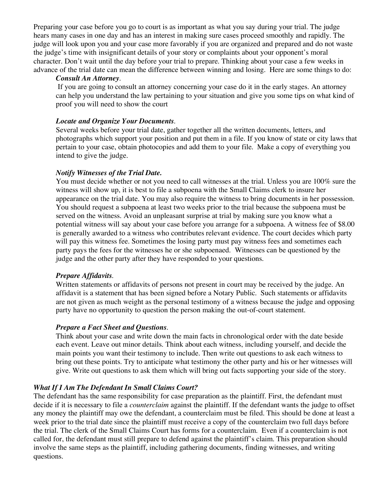Preparing your case before you go to court is as important as what you say during your trial. The judge hears many cases in one day and has an interest in making sure cases proceed smoothly and rapidly. The judge will look upon you and your case more favorably if you are organized and prepared and do not waste the judge's time with insignificant details of your story or complaints about your opponent's moral character. Don't wait until the day before your trial to prepare. Thinking about your case a few weeks in advance of the trial date can mean the difference between winning and losing. Here are some things to do:

#### *Consult An Attorney.*

If you are going to consult an attorney concerning your case do it in the early stages. An attorney can help you understand the law pertaining to your situation and give you some tips on what kind of proof you will need to show the court

### *Locate and Organize Your Documents.*

Several weeks before your trial date, gather together all the written documents, letters, and photographs which support your position and put them in a file. If you know of state or city laws that pertain to your case, obtain photocopies and add them to your file. Make a copy of everything you intend to give the judge.

### *Notify Witnesses of the Trial Date.*

You must decide whether or not you need to call witnesses at the trial. Unless you are 100% sure the witness will show up, it is best to file a subpoena with the Small Claims clerk to insure her appearance on the trial date. You may also require the witness to bring documents in her possession. You should request a subpoena at least two weeks prior to the trial because the subpoena must be served on the witness. Avoid an unpleasant surprise at trial by making sure you know what a potential witness will say about your case before you arrange for a subpoena. A witness fee of \$8.00 is generally awarded to a witness who contributes relevant evidence. The court decides which party will pay this witness fee. Sometimes the losing party must pay witness fees and sometimes each party pays the fees for the witnesses he or she subpoenaed. Witnesses can be questioned by the judge and the other party after they have responded to your questions.

### *Prepare Affidavits.*

Written statements or affidavits of persons not present in court may be received by the judge. An affidavit is a statement that has been signed before a Notary Public. Such statements or affidavits are not given as much weight as the personal testimony of a witness because the judge and opposing party have no opportunity to question the person making the out-of-court statement.

### *Prepare a Fact Sheet and Questions.*

Think about your case and write down the main facts in chronological order with the date beside each event. Leave out minor details. Think about each witness, including yourself, and decide the main points you want their testimony to include. Then write out questions to ask each witness to bring out these points. Try to anticipate what testimony the other party and his or her witnesses will give. Write out questions to ask them which will bring out facts supporting your side of the story.

### *What If I Am The Defendant In Small Claims Court?*

The defendant has the same responsibility for case preparation as the plaintiff. First, the defendant must decide if it is necessary to file a *counterclaim* against the plaintiff. If the defendant wants the judge to offset any money the plaintiff may owe the defendant, a counterclaim must be filed. This should be done at least a week prior to the trial date since the plaintiff must receive a copy of the counterclaim two full days before the trial. The clerk of the Small Claims Court has forms for a counterclaim. Even if a counterclaim is not called for, the defendant must still prepare to defend against the plaintiff's claim. This preparation should involve the same steps as the plaintiff, including gathering documents, finding witnesses, and writing questions.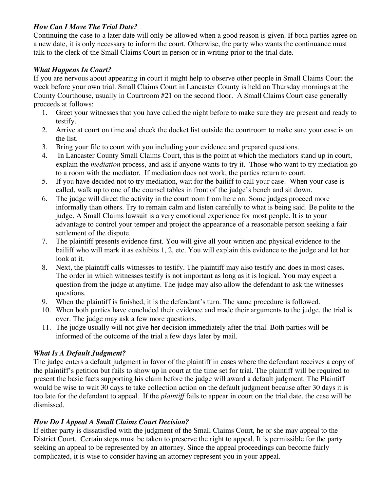# *How Can I Move The Trial Date?*

Continuing the case to a later date will only be allowed when a good reason is given. If both parties agree on a new date, it is only necessary to inform the court. Otherwise, the party who wants the continuance must talk to the clerk of the Small Claims Court in person or in writing prior to the trial date.

# *What Happens In Court?*

If you are nervous about appearing in court it might help to observe other people in Small Claims Court the week before your own trial. Small Claims Court in Lancaster County is held on Thursday mornings at the County Courthouse, usually in Courtroom #21 on the second floor. A Small Claims Court case generally proceeds at follows:

- 1. Greet your witnesses that you have called the night before to make sure they are present and ready to testify.
- 2. Arrive at court on time and check the docket list outside the courtroom to make sure your case is on the list.
- 3. Bring your file to court with you including your evidence and prepared questions.
- 4. In Lancaster County Small Claims Court, this is the point at which the mediators stand up in court, explain the *mediation* process, and ask if anyone wants to try it. Those who want to try mediation go to a room with the mediator. If mediation does not work, the parties return to court.
- 5. If you have decided not to try mediation, wait for the bailiff to call your case. When your case is called, walk up to one of the counsel tables in front of the judge's bench and sit down.
- 6. The judge will direct the activity in the courtroom from here on. Some judges proceed more informally than others. Try to remain calm and listen carefully to what is being said. Be polite to the judge. A Small Claims lawsuit is a very emotional experience for most people. It is to your advantage to control your temper and project the appearance of a reasonable person seeking a fair settlement of the dispute.
- 7. The plaintiff presents evidence first. You will give all your written and physical evidence to the bailiff who will mark it as exhibits 1, 2, etc. You will explain this evidence to the judge and let her look at it.
- 8. Next, the plaintiff calls witnesses to testify. The plaintiff may also testify and does in most cases. The order in which witnesses testify is not important as long as it is logical. You may expect a question from the judge at anytime. The judge may also allow the defendant to ask the witnesses questions.
- 9. When the plaintiff is finished, it is the defendant's turn. The same procedure is followed.
- 10. When both parties have concluded their evidence and made their arguments to the judge, the trial is over. The judge may ask a few more questions.
- 11. The judge usually will not give her decision immediately after the trial. Both parties will be informed of the outcome of the trial a few days later by mail.

# *What Is A Default Judgment?*

The judge enters a default judgment in favor of the plaintiff in cases where the defendant receives a copy of the plaintiff's petition but fails to show up in court at the time set for trial. The plaintiff will be required to present the basic facts supporting his claim before the judge will award a default judgment. The Plaintiff would be wise to wait 30 days to take collection action on the default judgment because after 30 days it is too late for the defendant to appeal. If the *plaintiff* fails to appear in court on the trial date, the case will be dismissed.

## *How Do I Appeal A Small Claims Court Decision?*

If either party is dissatisfied with the judgment of the Small Claims Court, he or she may appeal to the District Court. Certain steps must be taken to preserve the right to appeal. It is permissible for the party seeking an appeal to be represented by an attorney. Since the appeal proceedings can become fairly complicated, it is wise to consider having an attorney represent you in your appeal.